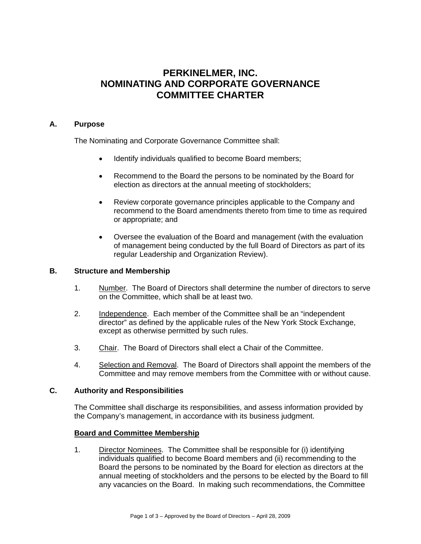# **PERKINELMER, INC. NOMINATING AND CORPORATE GOVERNANCE COMMITTEE CHARTER**

# **A. Purpose**

The Nominating and Corporate Governance Committee shall:

- Identify individuals qualified to become Board members;
- Recommend to the Board the persons to be nominated by the Board for election as directors at the annual meeting of stockholders;
- Review corporate governance principles applicable to the Company and recommend to the Board amendments thereto from time to time as required or appropriate; and
- Oversee the evaluation of the Board and management (with the evaluation of management being conducted by the full Board of Directors as part of its regular Leadership and Organization Review).

## **B. Structure and Membership**

- 1. Number. The Board of Directors shall determine the number of directors to serve on the Committee, which shall be at least two.
- 2. Independence. Each member of the Committee shall be an "independent director" as defined by the applicable rules of the New York Stock Exchange, except as otherwise permitted by such rules.
- 3. Chair. The Board of Directors shall elect a Chair of the Committee.
- 4. Selection and Removal. The Board of Directors shall appoint the members of the Committee and may remove members from the Committee with or without cause.

## **C. Authority and Responsibilities**

The Committee shall discharge its responsibilities, and assess information provided by the Company's management, in accordance with its business judgment.

## **Board and Committee Membership**

1. Director Nominees. The Committee shall be responsible for (i) identifying individuals qualified to become Board members and (ii) recommending to the Board the persons to be nominated by the Board for election as directors at the annual meeting of stockholders and the persons to be elected by the Board to fill any vacancies on the Board. In making such recommendations, the Committee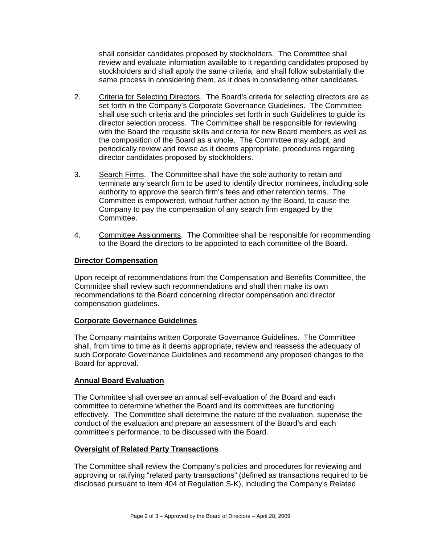shall consider candidates proposed by stockholders. The Committee shall review and evaluate information available to it regarding candidates proposed by stockholders and shall apply the same criteria, and shall follow substantially the same process in considering them, as it does in considering other candidates.

- 2. Criteria for Selecting Directors. The Board's criteria for selecting directors are as set forth in the Company's Corporate Governance Guidelines. The Committee shall use such criteria and the principles set forth in such Guidelines to guide its director selection process. The Committee shall be responsible for reviewing with the Board the requisite skills and criteria for new Board members as well as the composition of the Board as a whole. The Committee may adopt, and periodically review and revise as it deems appropriate, procedures regarding director candidates proposed by stockholders.
- 3. Search Firms. The Committee shall have the sole authority to retain and terminate any search firm to be used to identify director nominees, including sole authority to approve the search firm's fees and other retention terms. The Committee is empowered, without further action by the Board, to cause the Company to pay the compensation of any search firm engaged by the Committee.
- 4. Committee Assignments. The Committee shall be responsible for recommending to the Board the directors to be appointed to each committee of the Board.

# **Director Compensation**

Upon receipt of recommendations from the Compensation and Benefits Committee, the Committee shall review such recommendations and shall then make its own recommendations to the Board concerning director compensation and director compensation guidelines.

## **Corporate Governance Guidelines**

The Company maintains written Corporate Governance Guidelines. The Committee shall, from time to time as it deems appropriate, review and reassess the adequacy of such Corporate Governance Guidelines and recommend any proposed changes to the Board for approval.

## **Annual Board Evaluation**

The Committee shall oversee an annual self-evaluation of the Board and each committee to determine whether the Board and its committees are functioning effectively. The Committee shall determine the nature of the evaluation, supervise the conduct of the evaluation and prepare an assessment of the Board's and each committee's performance, to be discussed with the Board.

## **Oversight of Related Party Transactions**

The Committee shall review the Company's policies and procedures for reviewing and approving or ratifying "related party transactions" (defined as transactions required to be disclosed pursuant to Item 404 of Regulation S-K), including the Company's Related